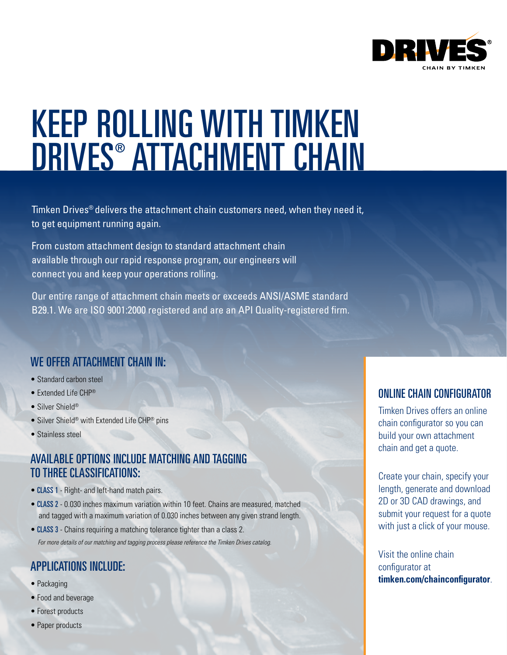

# KEEP ROLLING WITH TIMKEN DRIVES® ATTACHMENT CHAIN

Timken Drives® delivers the attachment chain customers need, when they need it, to get equipment running again.

From custom attachment design to standard attachment chain available through our rapid response program, our engineers will connect you and keep your operations rolling.

Our entire range of attachment chain meets or exceeds ANSI/ASME standard B29.1. We are ISO 9001:2000 registered and are an API Quality-registered firm.

### WE OFFER ATTACHMENT CHAIN IN:

- Standard carbon steel
- Extended Life CHP®
- Silver Shield®
- Silver Shield® with Extended Life CHP® pins
- Stainless steel

### AVAILABLE OPTIONS INCLUDE MATCHING AND TAGGING TO THREE CLASSIFICATIONS:

- CLASS 1 Right- and left-hand match pairs.
- CLASS 2 0.030 inches maximum variation within 10 feet. Chains are measured, matched and tagged with a maximum variation of 0.030 inches between any given strand length.
- CLASS 3 Chains requiring a matching tolerance tighter than a class 2. For more details of our matching and tagging process please reference the Timken Drives catalog.

### APPLICATIONS INCLUDE:

- Packaging
- Food and beverage
- Forest products
- Paper products

### ONLINE CHAIN CONFIGURATOR

Timken Drives offers an online chain configurator so you can build your own attachment chain and get a quote.

Create your chain, specify your length, generate and download 2D or 3D CAD drawings, and submit your request for a quote with just a click of your mouse.

Visit the online chain configurator at **timken.com/chainconfigurator**.